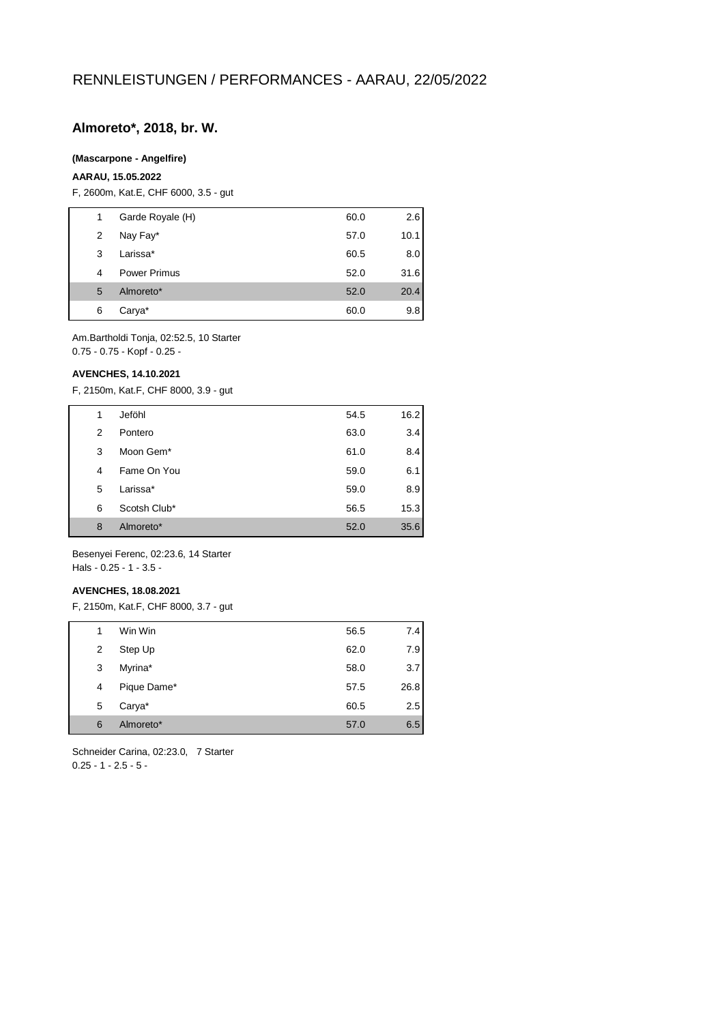## **Almoreto\*, 2018, br. W.**

#### **(Mascarpone - Angelfire)**

#### **AARAU, 15.05.2022**

F, 2600m, Kat.E, CHF 6000, 3.5 - gut

| 1 | Garde Royale (H)    | 60.0 | 2.6  |
|---|---------------------|------|------|
| 2 | Nay Fay*            | 57.0 | 10.1 |
| 3 | Larissa*            | 60.5 | 8.0  |
| 4 | <b>Power Primus</b> | 52.0 | 31.6 |
| 5 | Almoreto*           | 52.0 | 20.4 |
| 6 | Carya*              | 60.0 | 9.8  |

Am.Bartholdi Tonja, 02:52.5, 10 Starter 0.75 - 0.75 - Kopf - 0.25 -

#### **AVENCHES, 14.10.2021**

F, 2150m, Kat.F, CHF 8000, 3.9 - gut

| 1              | Jeföhl       | 54.5 | 16.2 |
|----------------|--------------|------|------|
| 2              | Pontero      | 63.0 | 3.4  |
| 3              | Moon Gem*    | 61.0 | 8.4  |
| $\overline{4}$ | Fame On You  | 59.0 | 6.1  |
| 5              | Larissa*     | 59.0 | 8.9  |
| 6              | Scotsh Club* | 56.5 | 15.3 |
| 8              | Almoreto*    | 52.0 | 35.6 |

Besenyei Ferenc, 02:23.6, 14 Starter Hals - 0.25 - 1 - 3.5 -

#### **AVENCHES, 18.08.2021**

F, 2150m, Kat.F, CHF 8000, 3.7 - gut

| 1 | Win Win     | 56.5 | 7.4  |
|---|-------------|------|------|
| 2 | Step Up     | 62.0 | 7.9  |
| 3 | Myrina*     | 58.0 | 3.7  |
| 4 | Pique Dame* | 57.5 | 26.8 |
| 5 | Carya*      | 60.5 | 2.5  |
| 6 | Almoreto*   | 57.0 | 6.5  |

Schneider Carina, 02:23.0, 7 Starter  $0.25 - 1 - 2.5 - 5 -$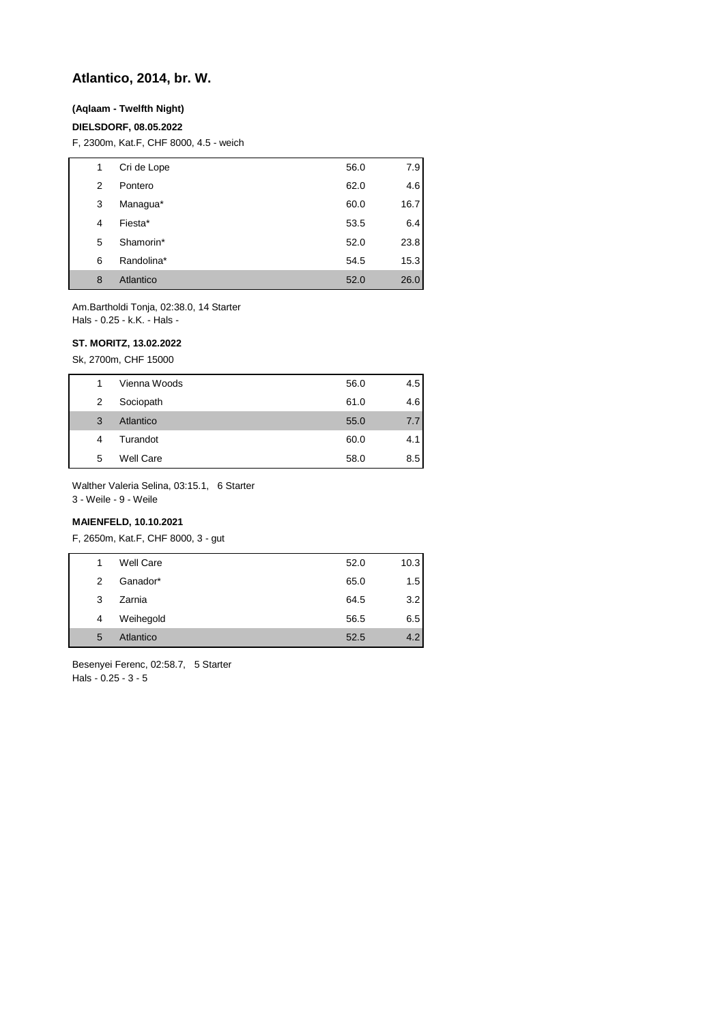## **Atlantico, 2014, br. W.**

## **(Aqlaam - Twelfth Night)**

#### **DIELSDORF, 08.05.2022**

F, 2300m, Kat.F, CHF 8000, 4.5 - weich

| 1 | Cri de Lope | 56.0 | 7.9  |
|---|-------------|------|------|
| 2 | Pontero     | 62.0 | 4.6  |
| 3 | Managua*    | 60.0 | 16.7 |
| 4 | Fiesta*     | 53.5 | 6.4  |
| 5 | Shamorin*   | 52.0 | 23.8 |
| 6 | Randolina*  | 54.5 | 15.3 |
| 8 | Atlantico   | 52.0 | 26.0 |

Am.Bartholdi Tonja, 02:38.0, 14 Starter Hals - 0.25 - k.K. - Hals -

### **ST. MORITZ, 13.02.2022**

Sk, 2700m, CHF 15000

| 1 | Vienna Woods     | 56.0 | 4.5 |
|---|------------------|------|-----|
| 2 | Sociopath        | 61.0 | 4.6 |
| 3 | Atlantico        | 55.0 | 7.7 |
| 4 | Turandot         | 60.0 | 4.1 |
| 5 | <b>Well Care</b> | 58.0 | 8.5 |

Walther Valeria Selina, 03:15.1, 6 Starter

3 - Weile - 9 - Weile

## **MAIENFELD, 10.10.2021**

F, 2650m, Kat.F, CHF 8000, 3 - gut

| 1             | <b>Well Care</b> | 52.0 | 10.3 |
|---------------|------------------|------|------|
| $\mathcal{P}$ | Ganador*         | 65.0 | 1.5  |
| 3             | Zarnia           | 64.5 | 3.2  |
| 4             | Weihegold        | 56.5 | 6.5  |
| 5             | Atlantico        | 52.5 | 4.2  |

Besenyei Ferenc, 02:58.7, 5 Starter Hals - 0.25 - 3 - 5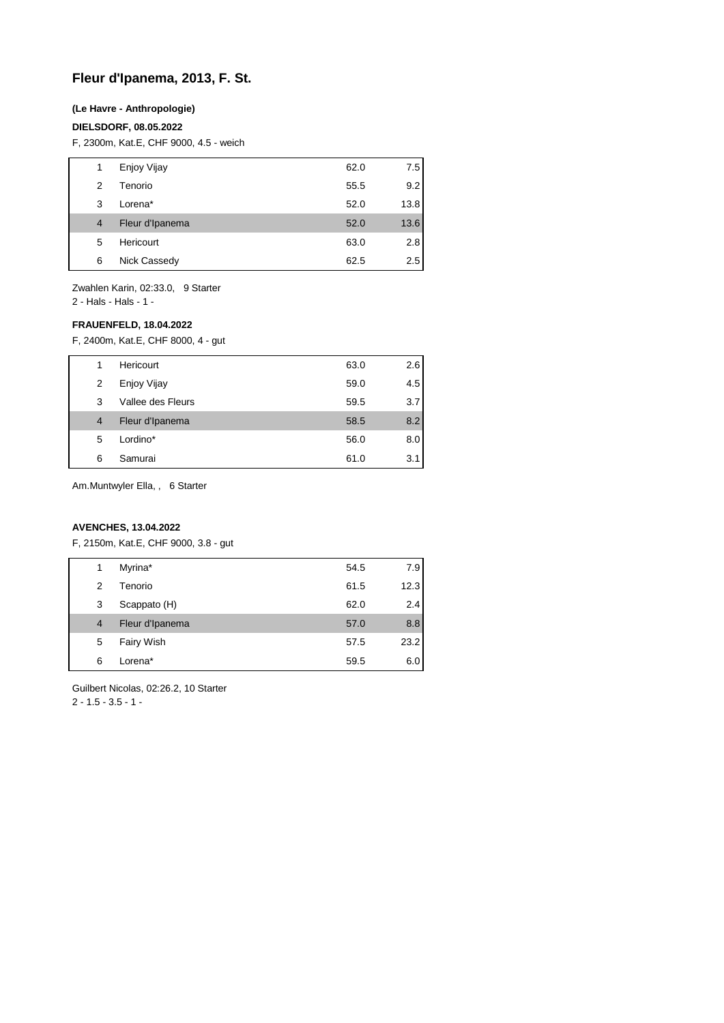## **Fleur d'Ipanema, 2013, F. St.**

#### **(Le Havre - Anthropologie)**

#### **DIELSDORF, 08.05.2022**

F, 2300m, Kat.E, CHF 9000, 4.5 - weich

| 1              | Enjoy Vijay     | 62.0 | 7.5  |
|----------------|-----------------|------|------|
| 2              | Tenorio         | 55.5 | 9.2  |
| 3              | Lorena*         | 52.0 | 13.8 |
| $\overline{4}$ | Fleur d'Ipanema | 52.0 | 13.6 |
| 5              | Hericourt       | 63.0 | 2.8  |
| 6              | Nick Cassedy    | 62.5 | 2.5  |

Zwahlen Karin, 02:33.0, 9 Starter 2 - Hals - Hals - 1 -

## **FRAUENFELD, 18.04.2022**

F, 2400m, Kat.E, CHF 8000, 4 - gut

| 1 | Hericourt         | 63.0 | 2.6 |
|---|-------------------|------|-----|
| 2 | Enjoy Vijay       | 59.0 | 4.5 |
| 3 | Vallee des Fleurs | 59.5 | 3.7 |
| 4 | Fleur d'Ipanema   | 58.5 | 8.2 |
| 5 | Lordino*          | 56.0 | 8.0 |
| 6 | Samurai           | 61.0 | 3.1 |

Am.Muntwyler Ella, , 6 Starter

## **AVENCHES, 13.04.2022**

F, 2150m, Kat.E, CHF 9000, 3.8 - gut

| 1 | Myrina*         | 54.5 | 7.9  |
|---|-----------------|------|------|
| 2 | Tenorio         | 61.5 | 12.3 |
| 3 | Scappato (H)    | 62.0 | 2.4  |
| 4 | Fleur d'Ipanema | 57.0 | 8.8  |
| 5 | Fairy Wish      | 57.5 | 23.2 |
| 6 | Lorena*         | 59.5 | 6.0  |

Guilbert Nicolas, 02:26.2, 10 Starter  $2 - 1.5 - 3.5 - 1 -$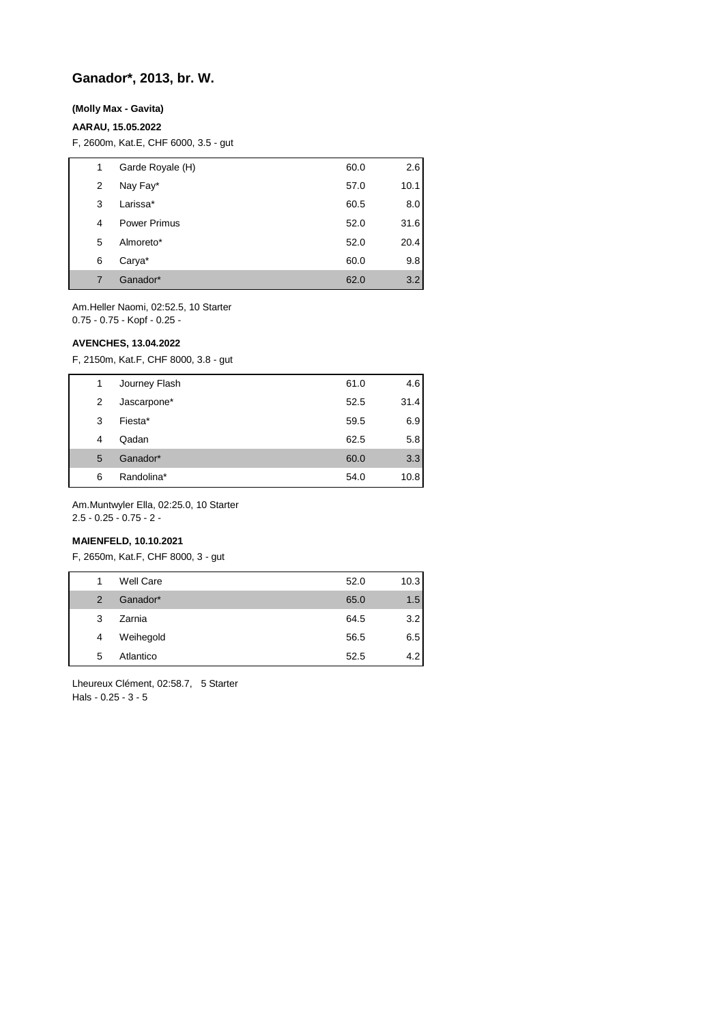## **Ganador\*, 2013, br. W.**

#### **(Molly Max - Gavita)**

#### **AARAU, 15.05.2022**

F, 2600m, Kat.E, CHF 6000, 3.5 - gut

| 1 | Garde Royale (H)    | 60.0 | 2.6  |
|---|---------------------|------|------|
| 2 | Nay Fay*            | 57.0 | 10.1 |
| 3 | Larissa*            | 60.5 | 8.0  |
| 4 | <b>Power Primus</b> | 52.0 | 31.6 |
| 5 | Almoreto*           | 52.0 | 20.4 |
| 6 | Carya*              | 60.0 | 9.8  |
| 7 | Ganador*            | 62.0 | 3.2  |

Am.Heller Naomi, 02:52.5, 10 Starter 0.75 - 0.75 - Kopf - 0.25 -

#### **AVENCHES, 13.04.2022**

F, 2150m, Kat.F, CHF 8000, 3.8 - gut

| 1 | Journey Flash | 61.0 | 4.6  |
|---|---------------|------|------|
| 2 | Jascarpone*   | 52.5 | 31.4 |
| 3 | Fiesta*       | 59.5 | 6.9  |
| 4 | Qadan         | 62.5 | 5.8  |
| 5 | Ganador*      | 60.0 | 3.3  |
| 6 | Randolina*    | 54.0 | 10.8 |

Am.Muntwyler Ella, 02:25.0, 10 Starter 2.5 - 0.25 - 0.75 - 2 -

## **MAIENFELD, 10.10.2021**

F, 2650m, Kat.F, CHF 8000, 3 - gut

| 1              | <b>Well Care</b> | 52.0 | 10.3 |
|----------------|------------------|------|------|
| $\overline{2}$ | Ganador*         | 65.0 | 1.5  |
| 3              | Zarnia           | 64.5 | 3.2  |
| 4              | Weihegold        | 56.5 | 6.5  |
| 5              | Atlantico        | 52.5 | 4.2  |

Lheureux Clément, 02:58.7, 5 Starter Hals - 0.25 - 3 - 5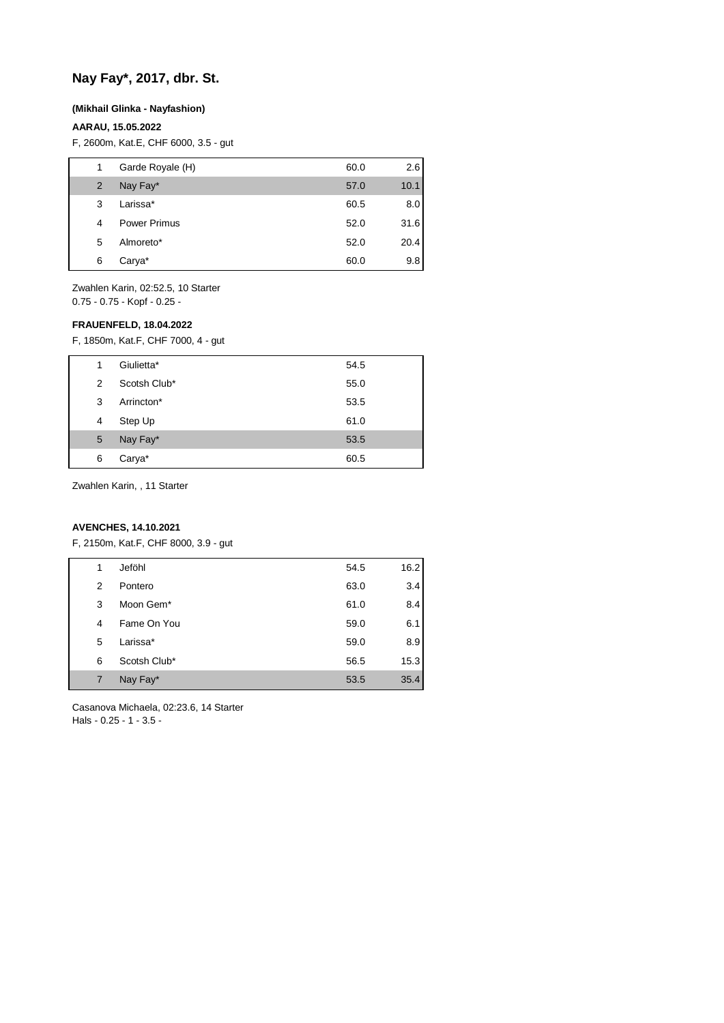# **Nay Fay\*, 2017, dbr. St.**

#### **(Mikhail Glinka - Nayfashion)**

## **AARAU, 15.05.2022**

F, 2600m, Kat.E, CHF 6000, 3.5 - gut

| 1 | Garde Royale (H)    | 60.0 | 2.6  |
|---|---------------------|------|------|
| 2 | Nay Fay*            | 57.0 | 10.1 |
| 3 | Larissa*            | 60.5 | 8.0  |
| 4 | <b>Power Primus</b> | 52.0 | 31.6 |
| 5 | Almoreto*           | 52.0 | 20.4 |
| 6 | Carya*              | 60.0 | 9.8  |

Zwahlen Karin, 02:52.5, 10 Starter 0.75 - 0.75 - Kopf - 0.25 -

#### **FRAUENFELD, 18.04.2022**

F, 1850m, Kat.F, CHF 7000, 4 - gut

| 6 | Carya*       | 60.5 |
|---|--------------|------|
| 5 | Nay Fay*     | 53.5 |
| 4 | Step Up      | 61.0 |
| 3 | Arrincton*   | 53.5 |
| 2 | Scotsh Club* | 55.0 |
| 1 | Giulietta*   | 54.5 |

Zwahlen Karin, , 11 Starter

## **AVENCHES, 14.10.2021**

F, 2150m, Kat.F, CHF 8000, 3.9 - gut

| 1 | Jeföhl       | 54.5 | 16.2 |
|---|--------------|------|------|
| 2 | Pontero      | 63.0 | 3.4  |
| 3 | Moon Gem*    | 61.0 | 8.4  |
| 4 | Fame On You  | 59.0 | 6.1  |
| 5 | Larissa*     | 59.0 | 8.9  |
| 6 | Scotsh Club* | 56.5 | 15.3 |
| 7 | Nay Fay*     | 53.5 | 35.4 |

Casanova Michaela, 02:23.6, 14 Starter Hals - 0.25 - 1 - 3.5 -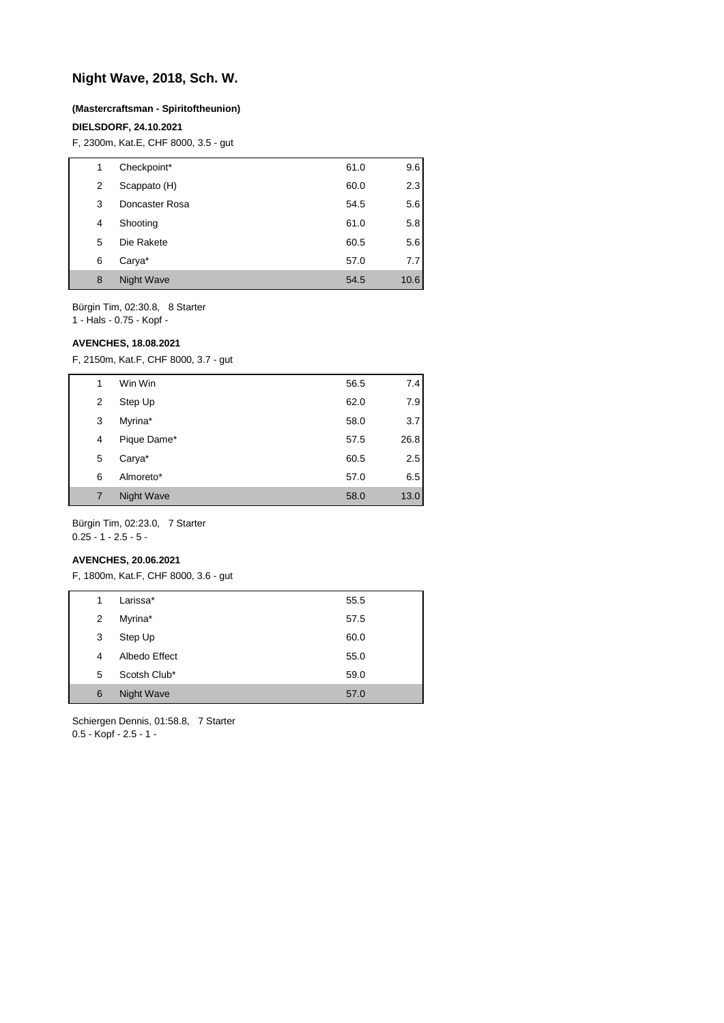## **Night Wave, 2018, Sch. W.**

#### **(Mastercraftsman - Spiritoftheunion)**

### **DIELSDORF, 24.10.2021**

F, 2300m, Kat.E, CHF 8000, 3.5 - gut

| 1 | Checkpoint*    | 61.0 | 9.6  |
|---|----------------|------|------|
| 2 | Scappato (H)   | 60.0 | 2.3  |
| 3 | Doncaster Rosa | 54.5 | 5.6  |
| 4 | Shooting       | 61.0 | 5.8  |
| 5 | Die Rakete     | 60.5 | 5.6  |
| 6 | Carya*         | 57.0 | 7.7  |
| 8 | Night Wave     | 54.5 | 10.6 |

Bürgin Tim, 02:30.8, 8 Starter

1 - Hals - 0.75 - Kopf -

## **AVENCHES, 18.08.2021**

F, 2150m, Kat.F, CHF 8000, 3.7 - gut

| 1 | Win Win     | 56.5 | 7.4  |
|---|-------------|------|------|
| 2 | Step Up     | 62.0 | 7.9  |
| 3 | Myrina*     | 58.0 | 3.7  |
| 4 | Pique Dame* | 57.5 | 26.8 |
| 5 | Carya*      | 60.5 | 2.5  |
| 6 | Almoreto*   | 57.0 | 6.5  |
| 7 | Night Wave  | 58.0 | 13.0 |
|   |             |      |      |

Bürgin Tim, 02:23.0, 7 Starter 0.25 - 1 - 2.5 - 5 -

#### **AVENCHES, 20.06.2021**

F, 1800m, Kat.F, CHF 8000, 3.6 - gut

| 1 | Larissa*      | 55.5 |
|---|---------------|------|
| 2 | Myrina*       | 57.5 |
| 3 | Step Up       | 60.0 |
| 4 | Albedo Effect | 55.0 |
| 5 | Scotsh Club*  | 59.0 |
| 6 | Night Wave    | 57.0 |

Schiergen Dennis, 01:58.8, 7 Starter 0.5 - Kopf - 2.5 - 1 -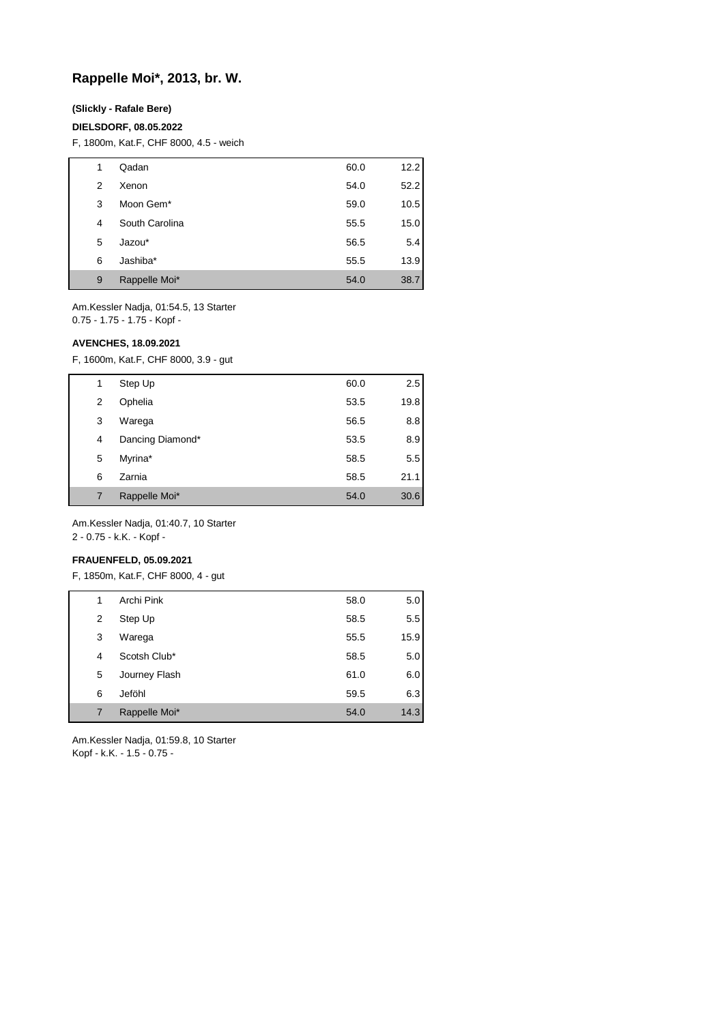## **Rappelle Moi\*, 2013, br. W.**

#### **(Slickly - Rafale Bere)**

#### **DIELSDORF, 08.05.2022**

F, 1800m, Kat.F, CHF 8000, 4.5 - weich

| 1 | Qadan                 | 60.0 | 12.2 |
|---|-----------------------|------|------|
| 2 | Xenon                 | 54.0 | 52.2 |
| 3 | Moon Gem <sup>*</sup> | 59.0 | 10.5 |
| 4 | South Carolina        | 55.5 | 15.0 |
| 5 | Jazou*                | 56.5 | 5.4  |
| 6 | Jashiba*              | 55.5 | 13.9 |
| 9 | Rappelle Moi*         | 54.0 | 38.7 |

Am.Kessler Nadja, 01:54.5, 13 Starter 0.75 - 1.75 - 1.75 - Kopf -

#### **AVENCHES, 18.09.2021**

F, 1600m, Kat.F, CHF 8000, 3.9 - gut

| 1 | Step Up          | 60.0 | 2.5  |
|---|------------------|------|------|
| 2 | Ophelia          | 53.5 | 19.8 |
| 3 | Warega           | 56.5 | 8.8  |
| 4 | Dancing Diamond* | 53.5 | 8.9  |
| 5 | Myrina*          | 58.5 | 5.5  |
| 6 | Zarnia           | 58.5 | 21.1 |
|   | Rappelle Moi*    | 54.0 | 30.6 |

Am.Kessler Nadja, 01:40.7, 10 Starter 2 - 0.75 - k.K. - Kopf -

#### **FRAUENFELD, 05.09.2021**

F, 1850m, Kat.F, CHF 8000, 4 - gut

| 1 | Archi Pink    | 58.0 | 5.0  |
|---|---------------|------|------|
| 2 | Step Up       | 58.5 | 5.5  |
| 3 | Warega        | 55.5 | 15.9 |
| 4 | Scotsh Club*  | 58.5 | 5.0  |
| 5 | Journey Flash | 61.0 | 6.0  |
| 6 | Jeföhl        | 59.5 | 6.3  |
| 7 | Rappelle Moi* | 54.0 | 14.3 |

Am.Kessler Nadja, 01:59.8, 10 Starter Kopf - k.K. - 1.5 - 0.75 -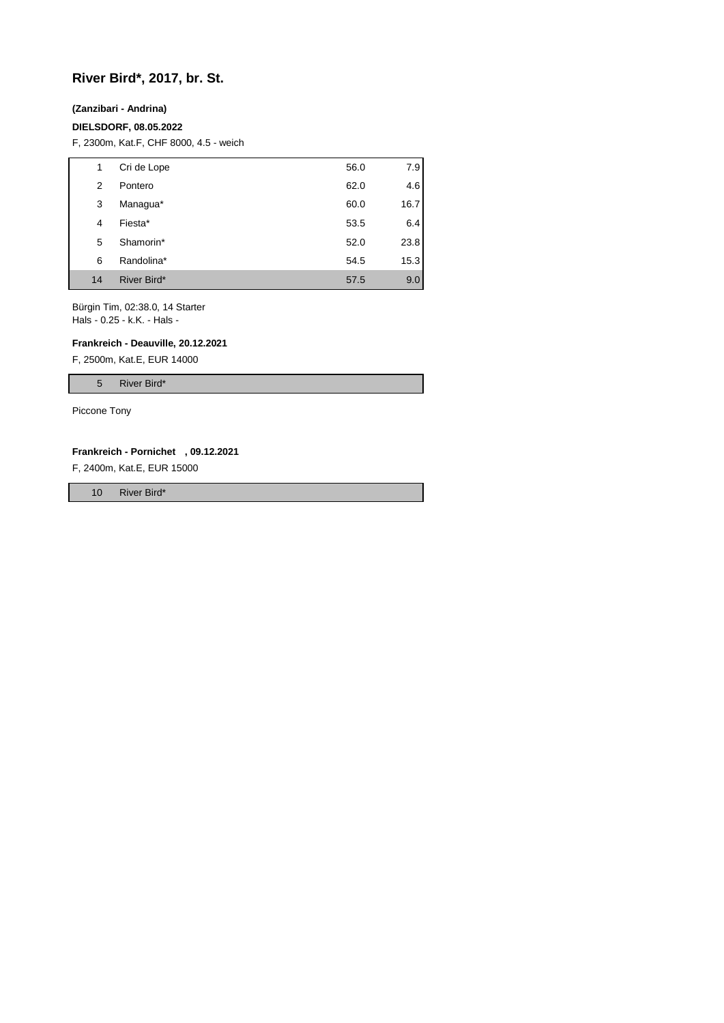# **River Bird\*, 2017, br. St.**

#### **(Zanzibari - Andrina)**

#### **DIELSDORF, 08.05.2022**

F, 2300m, Kat.F, CHF 8000, 4.5 - weich

| 1  | Cri de Lope | 56.0 | 7.9  |
|----|-------------|------|------|
| 2  | Pontero     | 62.0 | 4.6  |
| 3  | Managua*    | 60.0 | 16.7 |
| 4  | Fiesta*     | 53.5 | 6.4  |
| 5  | Shamorin*   | 52.0 | 23.8 |
| 6  | Randolina*  | 54.5 | 15.3 |
| 14 | River Bird* | 57.5 | 9.0  |

Bürgin Tim, 02:38.0, 14 Starter Hals - 0.25 - k.K. - Hals -

#### **Frankreich - Deauville, 20.12.2021**

F, 2500m, Kat.E, EUR 14000

5 River Bird\*

Piccone Tony

#### **Frankreich - Pornichet , 09.12.2021**

F, 2400m, Kat.E, EUR 15000

10 River Bird\*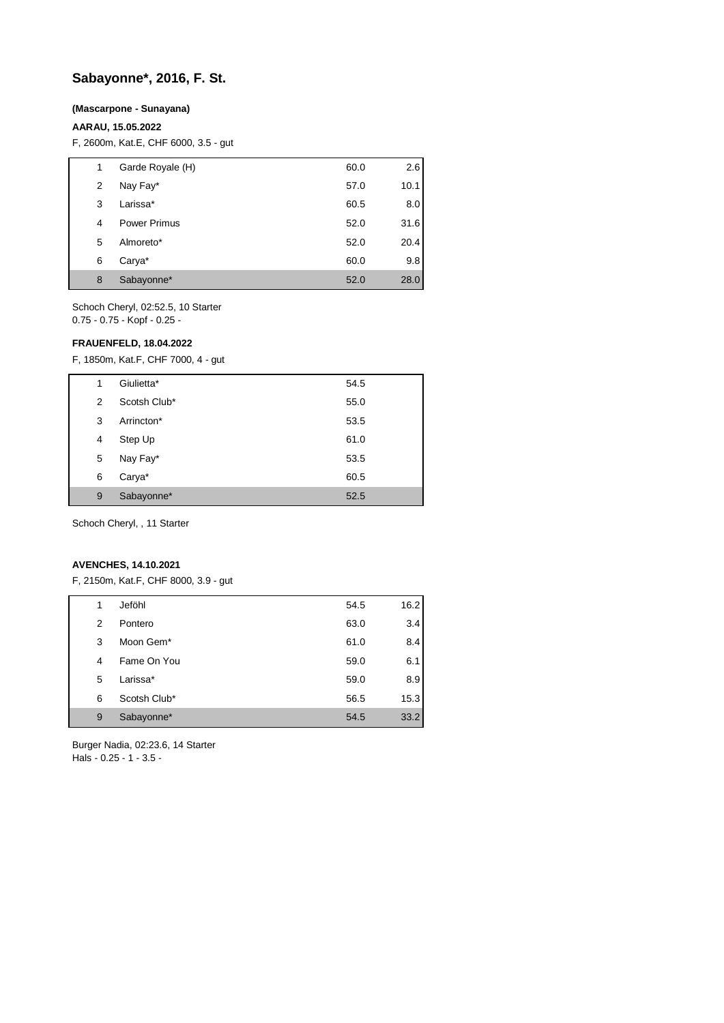# **Sabayonne\*, 2016, F. St.**

#### **(Mascarpone - Sunayana)**

## **AARAU, 15.05.2022**

F, 2600m, Kat.E, CHF 6000, 3.5 - gut

| 1 | Garde Royale (H)    | 60.0 | 2.6  |
|---|---------------------|------|------|
| 2 | Nay Fay*            | 57.0 | 10.1 |
| 3 | Larissa*            | 60.5 | 8.0  |
| 4 | <b>Power Primus</b> | 52.0 | 31.6 |
| 5 | Almoreto*           | 52.0 | 20.4 |
| 6 | Carya*              | 60.0 | 9.8  |
| 8 | Sabayonne*          | 52.0 | 28.0 |

Schoch Cheryl, 02:52.5, 10 Starter 0.75 - 0.75 - Kopf - 0.25 -

#### **FRAUENFELD, 18.04.2022**

F, 1850m, Kat.F, CHF 7000, 4 - gut

| 1 | Giulietta*   | 54.5 |
|---|--------------|------|
| 2 | Scotsh Club* | 55.0 |
| 3 | Arrincton*   | 53.5 |
| 4 | Step Up      | 61.0 |
| 5 | Nay Fay*     | 53.5 |
| 6 | Carya*       | 60.5 |
| 9 | Sabayonne*   | 52.5 |
|   |              |      |

Schoch Cheryl, , 11 Starter

## **AVENCHES, 14.10.2021**

F, 2150m, Kat.F, CHF 8000, 3.9 - gut

| 1 | Jeföhl                | 54.5 | 16.2 |
|---|-----------------------|------|------|
| 2 | Pontero               | 63.0 | 3.4  |
| 3 | Moon Gem <sup>*</sup> | 61.0 | 8.4  |
| 4 | Fame On You           | 59.0 | 6.1  |
| 5 | Larissa*              | 59.0 | 8.9  |
| 6 | Scotsh Club*          | 56.5 | 15.3 |
| 9 | Sabayonne*            | 54.5 | 33.2 |

Burger Nadia, 02:23.6, 14 Starter Hals - 0.25 - 1 - 3.5 -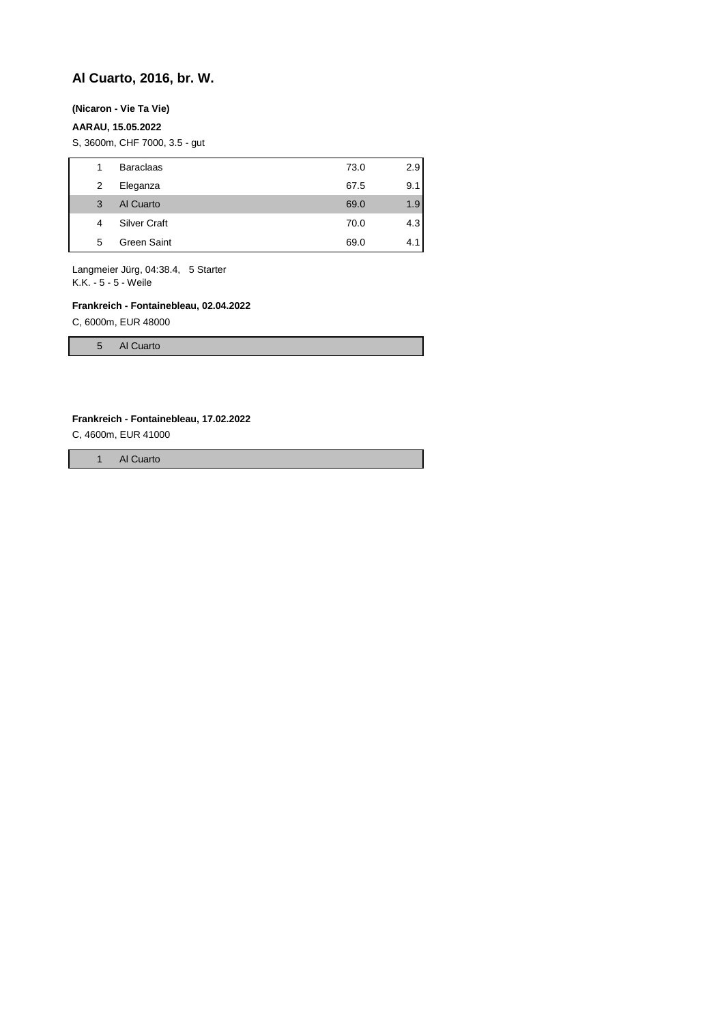# **Al Cuarto, 2016, br. W.**

## **(Nicaron - Vie Ta Vie)**

### **AARAU, 15.05.2022**

S, 3600m, CHF 7000, 3.5 - gut

| 1 | <b>Baraclaas</b>    | 73.0 | 2.9 |
|---|---------------------|------|-----|
| 2 | Eleganza            | 67.5 | 9.1 |
| 3 | Al Cuarto           | 69.0 | 1.9 |
| 4 | <b>Silver Craft</b> | 70.0 | 4.3 |
| 5 | Green Saint         | 69.0 | 4.1 |

Langmeier Jürg, 04:38.4, 5 Starter K.K. - 5 - 5 - Weile

#### **Frankreich - Fontainebleau, 02.04.2022**

C, 6000m, EUR 48000

5 Al Cuarto

#### **Frankreich - Fontainebleau, 17.02.2022**

C, 4600m, EUR 41000

1 Al Cuarto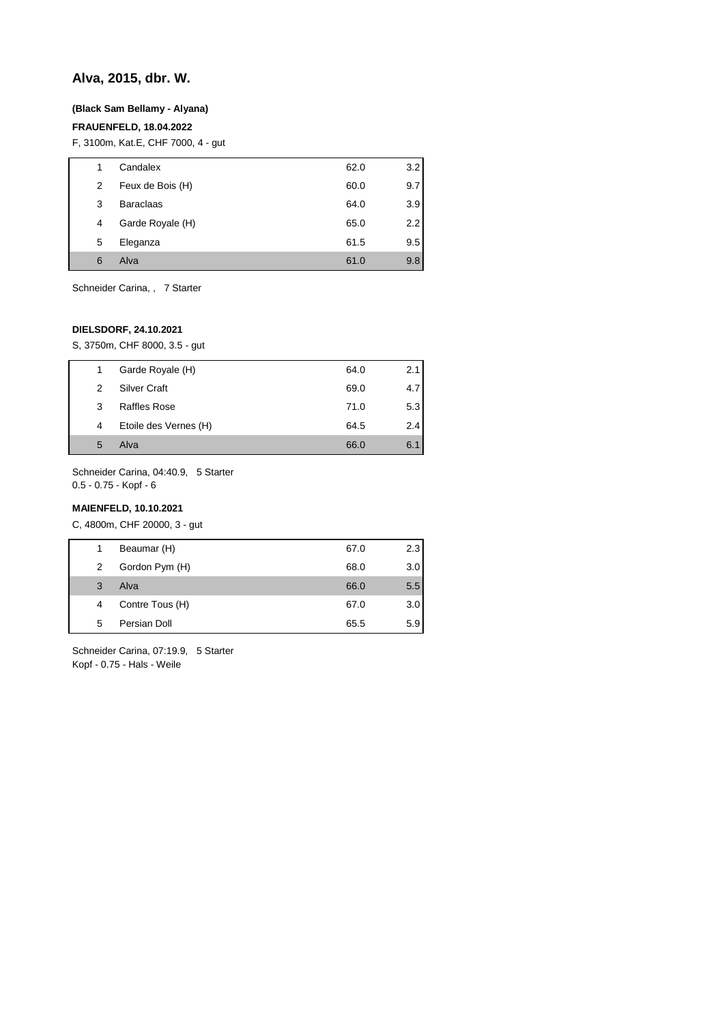## **Alva, 2015, dbr. W.**

#### **(Black Sam Bellamy - Alyana)**

## **FRAUENFELD, 18.04.2022**

F, 3100m, Kat.E, CHF 7000, 4 - gut

| 1 | Candalex         | 62.0 | 3.2 |
|---|------------------|------|-----|
| 2 | Feux de Bois (H) | 60.0 | 9.7 |
| 3 | <b>Baraclaas</b> | 64.0 | 3.9 |
| 4 | Garde Royale (H) | 65.0 | 2.2 |
| 5 | Eleganza         | 61.5 | 9.5 |
| 6 | Alva             | 61.0 | 9.8 |
|   |                  |      |     |

Schneider Carina, , 7 Starter

## **DIELSDORF, 24.10.2021**

S, 3750m, CHF 8000, 3.5 - gut

| 1 | Garde Royale (H)      | 64.0 | 2.1 |
|---|-----------------------|------|-----|
| 2 | <b>Silver Craft</b>   | 69.0 | 4.7 |
| 3 | <b>Raffles Rose</b>   | 71.0 | 5.3 |
| 4 | Etoile des Vernes (H) | 64.5 | 2.4 |
| 5 | Alva                  | 66.0 | 6.1 |

Schneider Carina, 04:40.9, 5 Starter 0.5 - 0.75 - Kopf - 6

### **MAIENFELD, 10.10.2021**

C, 4800m, CHF 20000, 3 - gut

| 1 | Beaumar (H)     | 67.0 | 2.3 |
|---|-----------------|------|-----|
| 2 | Gordon Pym (H)  | 68.0 | 3.0 |
| 3 | Alva            | 66.0 | 5.5 |
| 4 | Contre Tous (H) | 67.0 | 3.0 |
| 5 | Persian Doll    | 65.5 | 5.9 |
|   |                 |      |     |

Schneider Carina, 07:19.9, 5 Starter Kopf - 0.75 - Hals - Weile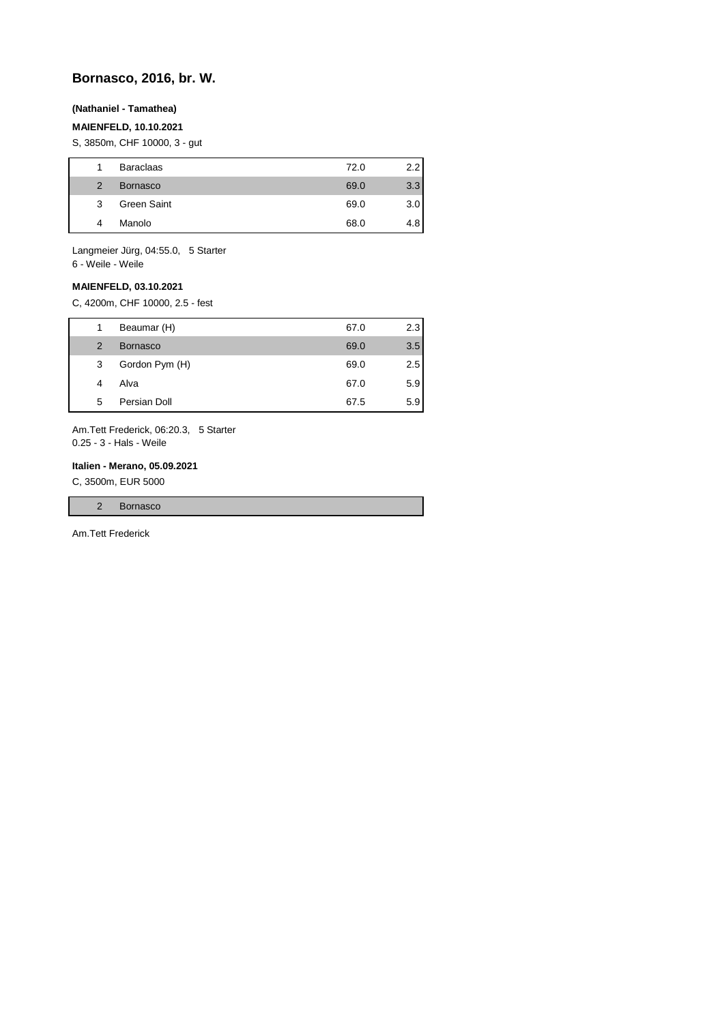## **Bornasco, 2016, br. W.**

## **(Nathaniel - Tamathea)**

## **MAIENFELD, 10.10.2021**

S, 3850m, CHF 10000, 3 - gut

| 1             | <b>Baraclaas</b> | 72.0 | 2.2 |
|---------------|------------------|------|-----|
| $\mathcal{P}$ | <b>Bornasco</b>  | 69.0 | 3.3 |
| 3             | Green Saint      | 69.0 | 3.0 |
| 4             | Manolo           | 68.0 | 4.8 |

Langmeier Jürg, 04:55.0, 5 Starter 6 - Weile - Weile

## **MAIENFELD, 03.10.2021**

C, 4200m, CHF 10000, 2.5 - fest

| 1             | Beaumar (H)     | 67.0 | 2.3 |
|---------------|-----------------|------|-----|
| $\mathcal{P}$ | <b>Bornasco</b> | 69.0 | 3.5 |
| 3             | Gordon Pym (H)  | 69.0 | 2.5 |
| 4             | Alva            | 67.0 | 5.9 |
| 5             | Persian Doll    | 67.5 | 5.9 |

Am.Tett Frederick, 06:20.3, 5 Starter 0.25 - 3 - Hals - Weile

#### **Italien - Merano, 05.09.2021**

C, 3500m, EUR 5000

|  |  |  | sco<br>- |
|--|--|--|----------|
|--|--|--|----------|

Am.Tett Frederick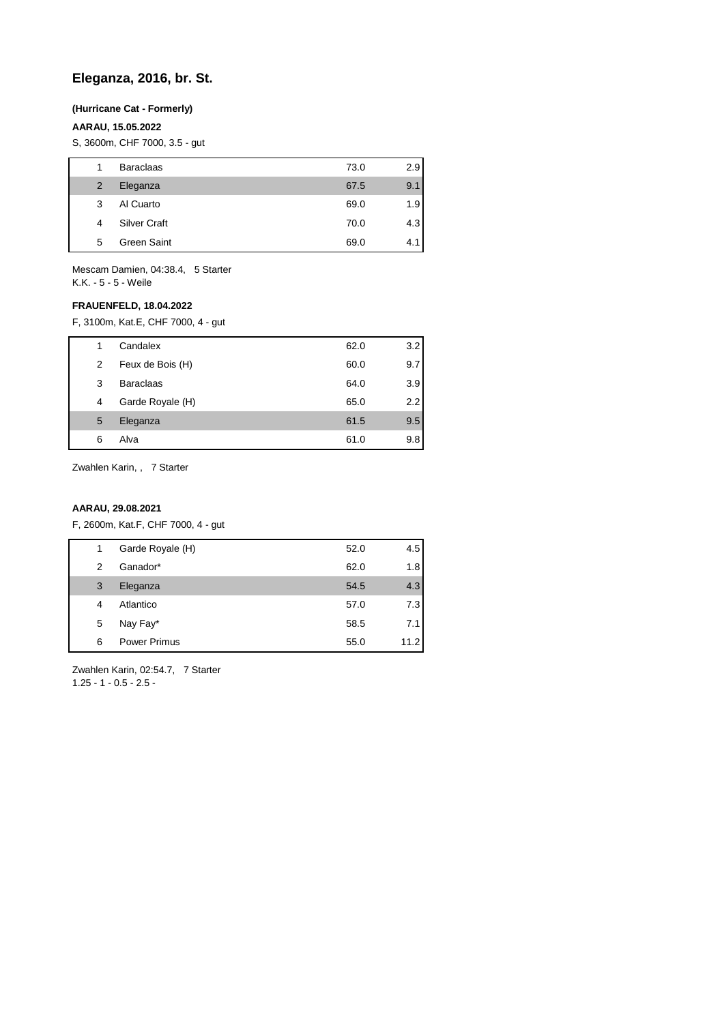## **Eleganza, 2016, br. St.**

## **(Hurricane Cat - Formerly)**

## **AARAU, 15.05.2022**

S, 3600m, CHF 7000, 3.5 - gut

| 1 | <b>Baraclaas</b>    | 73.0 | 2.9 |
|---|---------------------|------|-----|
| 2 | Eleganza            | 67.5 | 9.1 |
| 3 | Al Cuarto           | 69.0 | 1.9 |
| 4 | <b>Silver Craft</b> | 70.0 | 4.3 |
| 5 | Green Saint         | 69.0 | 4.  |

Mescam Damien, 04:38.4, 5 Starter K.K. - 5 - 5 - Weile

## **FRAUENFELD, 18.04.2022**

F, 3100m, Kat.E, CHF 7000, 4 - gut

| 1 | Candalex         | 62.0 | 3.2 |
|---|------------------|------|-----|
| 2 | Feux de Bois (H) | 60.0 | 9.7 |
| 3 | <b>Baraclaas</b> | 64.0 | 3.9 |
| 4 | Garde Royale (H) | 65.0 | 2.2 |
| 5 | Eleganza         | 61.5 | 9.5 |
| 6 | Alva             | 61.0 | 9.8 |
|   |                  |      |     |

Zwahlen Karin, , 7 Starter

### **AARAU, 29.08.2021**

F, 2600m, Kat.F, CHF 7000, 4 - gut

| 1 | Garde Royale (H)    | 52.0 | 4.5  |
|---|---------------------|------|------|
| 2 | Ganador*            | 62.0 | 1.8  |
| 3 | Eleganza            | 54.5 | 4.3  |
| 4 | Atlantico           | 57.0 | 7.3  |
| 5 | Nay Fay*            | 58.5 | 7.1  |
| 6 | <b>Power Primus</b> | 55.0 | 11.2 |

Zwahlen Karin, 02:54.7, 7 Starter 1.25 - 1 - 0.5 - 2.5 -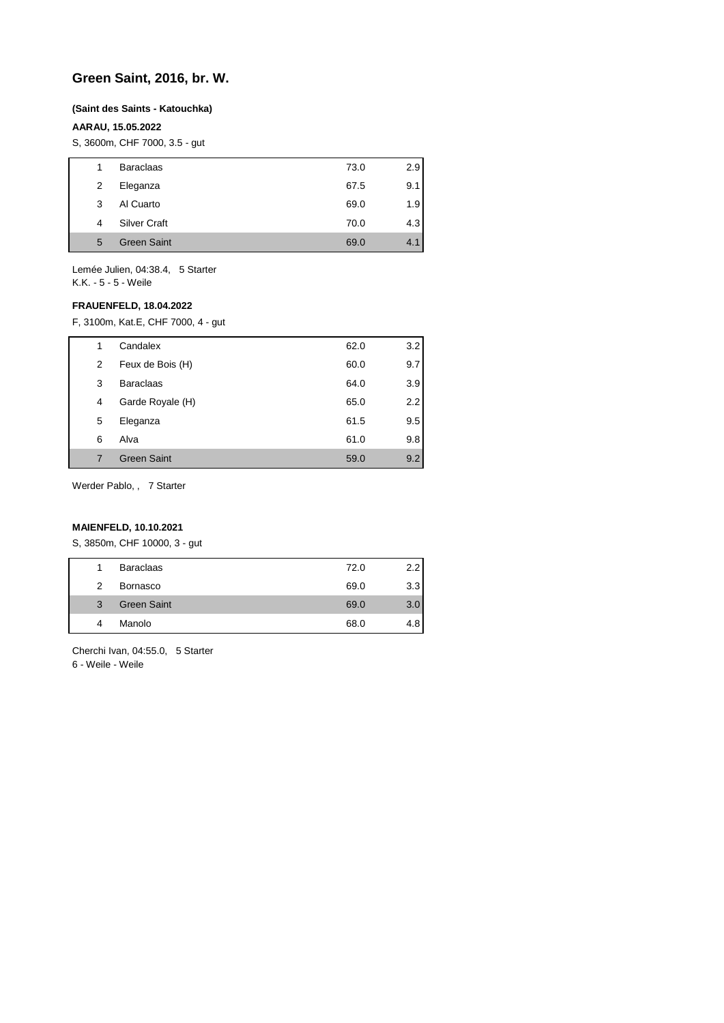## **Green Saint, 2016, br. W.**

#### **(Saint des Saints - Katouchka)**

## **AARAU, 15.05.2022**

S, 3600m, CHF 7000, 3.5 - gut

| 1 | <b>Baraclaas</b>    | 73.0 | 2.9 |
|---|---------------------|------|-----|
| 2 | Eleganza            | 67.5 | 9.1 |
| 3 | Al Cuarto           | 69.0 | 1.9 |
| 4 | <b>Silver Craft</b> | 70.0 | 4.3 |
| 5 | <b>Green Saint</b>  | 69.0 | 4.1 |
|   |                     |      |     |

Lemée Julien, 04:38.4, 5 Starter K.K. - 5 - 5 - Weile

### **FRAUENFELD, 18.04.2022**

F, 3100m, Kat.E, CHF 7000, 4 - gut

| 1 | Candalex           | 62.0 | 3.2 |
|---|--------------------|------|-----|
| 2 | Feux de Bois (H)   | 60.0 | 9.7 |
| 3 | <b>Baraclaas</b>   | 64.0 | 3.9 |
| 4 | Garde Royale (H)   | 65.0 | 2.2 |
| 5 | Eleganza           | 61.5 | 9.5 |
| 6 | Alva               | 61.0 | 9.8 |
| 7 | <b>Green Saint</b> | 59.0 | 9.2 |

Werder Pablo, , 7 Starter

## **MAIENFELD, 10.10.2021**

S, 3850m, CHF 10000, 3 - gut

| 1             | <b>Baraclaas</b>   |      |                  |
|---------------|--------------------|------|------------------|
|               |                    | 72.0 |                  |
| $\mathcal{P}$ | Bornasco           | 69.0 | 3.3 <sub>1</sub> |
| 3             | <b>Green Saint</b> | 69.0 | 3.0              |
| 4             | Manolo             | 68.0 |                  |

Cherchi Ivan, 04:55.0, 5 Starter 6 - Weile - Weile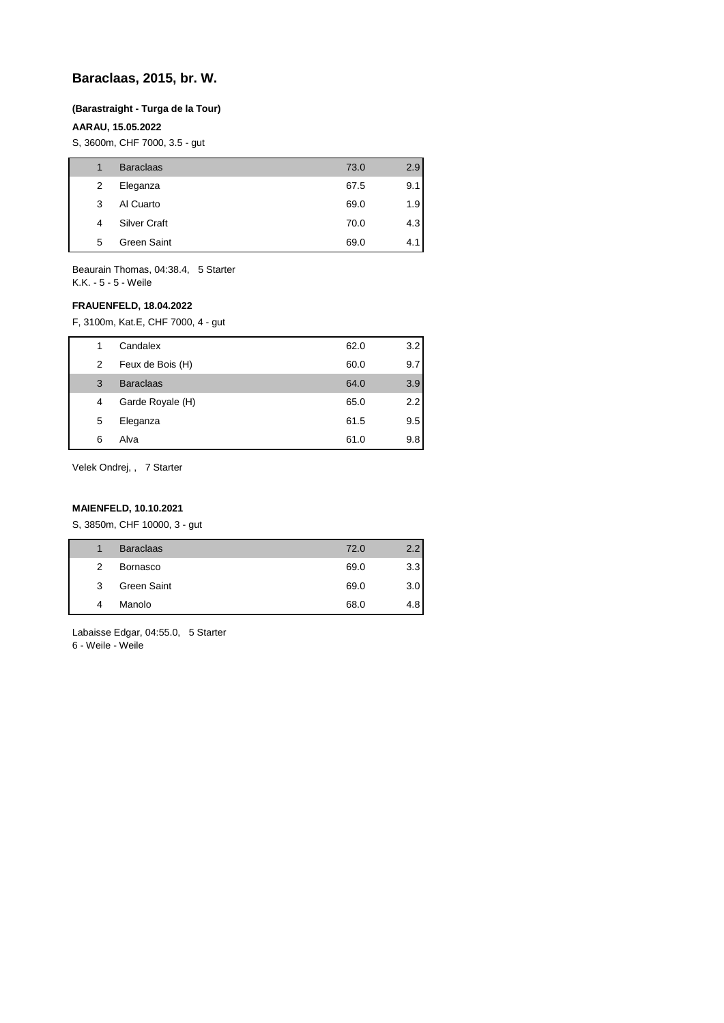## **Baraclaas, 2015, br. W.**

## **(Barastraight - Turga de la Tour)**

## **AARAU, 15.05.2022**

S, 3600m, CHF 7000, 3.5 - gut

| 1 | <b>Baraclaas</b>    | 73.0 | 2.9 |
|---|---------------------|------|-----|
| 2 | Eleganza            | 67.5 | 9.1 |
| 3 | Al Cuarto           | 69.0 | 1.9 |
| 4 | <b>Silver Craft</b> | 70.0 | 4.3 |
| 5 | Green Saint         | 69.0 | 4.1 |
|   |                     |      |     |

Beaurain Thomas, 04:38.4, 5 Starter K.K. - 5 - 5 - Weile

## **FRAUENFELD, 18.04.2022**

F, 3100m, Kat.E, CHF 7000, 4 - gut

| 1 | Candalex         | 62.0 | 3.2 |
|---|------------------|------|-----|
| 2 | Feux de Bois (H) | 60.0 | 9.7 |
| 3 | <b>Baraclaas</b> | 64.0 | 3.9 |
| 4 | Garde Royale (H) | 65.0 | 2.2 |
| 5 | Eleganza         | 61.5 | 9.5 |
| 6 | Alva             | 61.0 | 9.8 |

Velek Ondrej, , 7 Starter

## **MAIENFELD, 10.10.2021**

S, 3850m, CHF 10000, 3 - gut

|   | <b>Baraclaas</b> | 72.0 | 22  |
|---|------------------|------|-----|
| 2 | Bornasco         | 69.0 | 3.3 |
| 3 | Green Saint      | 69.0 | 3.0 |
| 4 | Manolo           | 68.0 | 4.8 |
|   |                  |      |     |

Labaisse Edgar, 04:55.0, 5 Starter 6 - Weile - Weile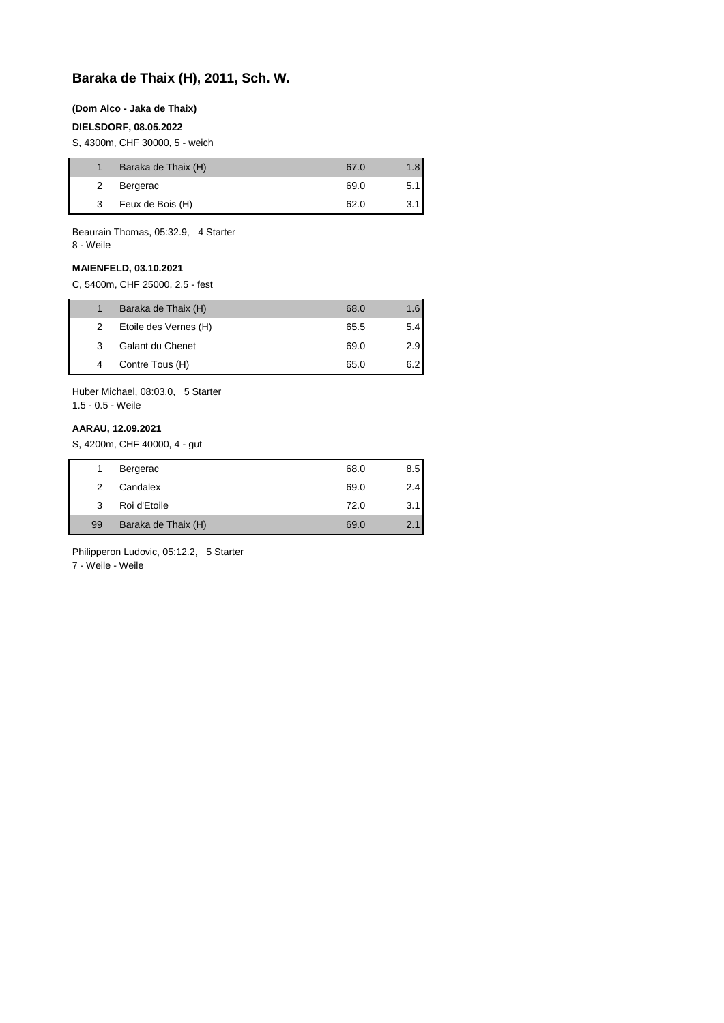# **Baraka de Thaix (H), 2011, Sch. W.**

#### **(Dom Alco - Jaka de Thaix)**

### **DIELSDORF, 08.05.2022**

S, 4300m, CHF 30000, 5 - weich

|   | Baraka de Thaix (H) | 67.0 | 1.8 <sup>1</sup> |
|---|---------------------|------|------------------|
| 2 | Bergerac            | 69.0 | 5.1              |
| 3 | Feux de Bois (H)    | 62.0 | 3.1              |

Beaurain Thomas, 05:32.9, 4 Starter 8 - Weile

**MAIENFELD, 03.10.2021**

C, 5400m, CHF 25000, 2.5 - fest

|   | Baraka de Thaix (H)   | 68.0 | 1.6 |
|---|-----------------------|------|-----|
| 2 | Etoile des Vernes (H) | 65.5 | 5.4 |
| 3 | Galant du Chenet      | 69.0 | 2.9 |
| 4 | Contre Tous (H)       | 65.0 | 6.2 |

Huber Michael, 08:03.0, 5 Starter 1.5 - 0.5 - Weile

#### **AARAU, 12.09.2021**

S, 4200m, CHF 40000, 4 - gut

| 1  | Bergerac            | 68.0 | 8.5 |
|----|---------------------|------|-----|
| 2  | Candalex            | 69.0 | 2.4 |
| 3  | Roi d'Etoile        | 72.0 | 3.1 |
| 99 | Baraka de Thaix (H) | 69.0 | 2.1 |
|    |                     |      |     |

Philipperon Ludovic, 05:12.2, 5 Starter

7 - Weile - Weile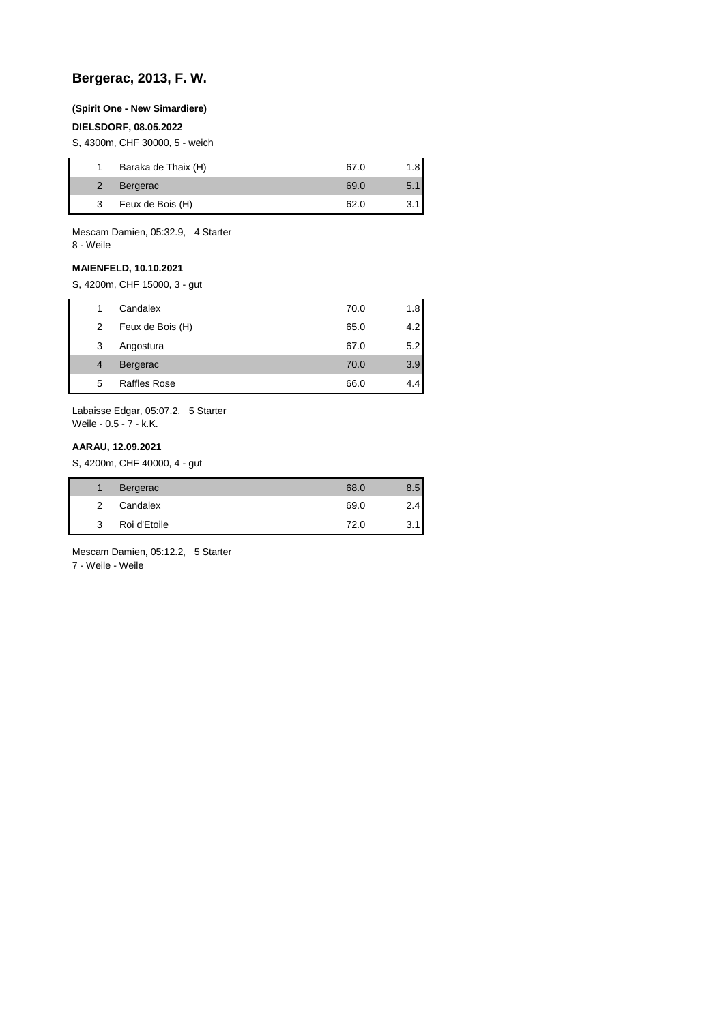## **Bergerac, 2013, F. W.**

#### **(Spirit One - New Simardiere)**

## **DIELSDORF, 08.05.2022**

S, 4300m, CHF 30000, 5 - weich

|   | Baraka de Thaix (H) | 67.0 | 1.8 |
|---|---------------------|------|-----|
|   | Bergerac            | 69.0 | 5.1 |
| 3 | Feux de Bois (H)    | 62.0 |     |

Mescam Damien, 05:32.9, 4 Starter 8 - Weile

## **MAIENFELD, 10.10.2021**

S, 4200m, CHF 15000, 3 - gut

|   | Candalex            | 70.0 | 1.8 |
|---|---------------------|------|-----|
| 2 | Feux de Bois (H)    | 65.0 | 4.2 |
| 3 | Angostura           | 67.0 | 5.2 |
| 4 | Bergerac            | 70.0 | 3.9 |
| 5 | <b>Raffles Rose</b> | 66.0 | 4.4 |

Labaisse Edgar, 05:07.2, 5 Starter Weile - 0.5 - 7 - k.K.

### **AARAU, 12.09.2021**

S, 4200m, CHF 40000, 4 - gut

|   | Bergerac     | 68.0 | 8.5 |
|---|--------------|------|-----|
| 2 | Candalex     | 69.0 | 2.4 |
| 3 | Roi d'Etoile | 72.0 | 3.1 |

Mescam Damien, 05:12.2, 5 Starter

7 - Weile - Weile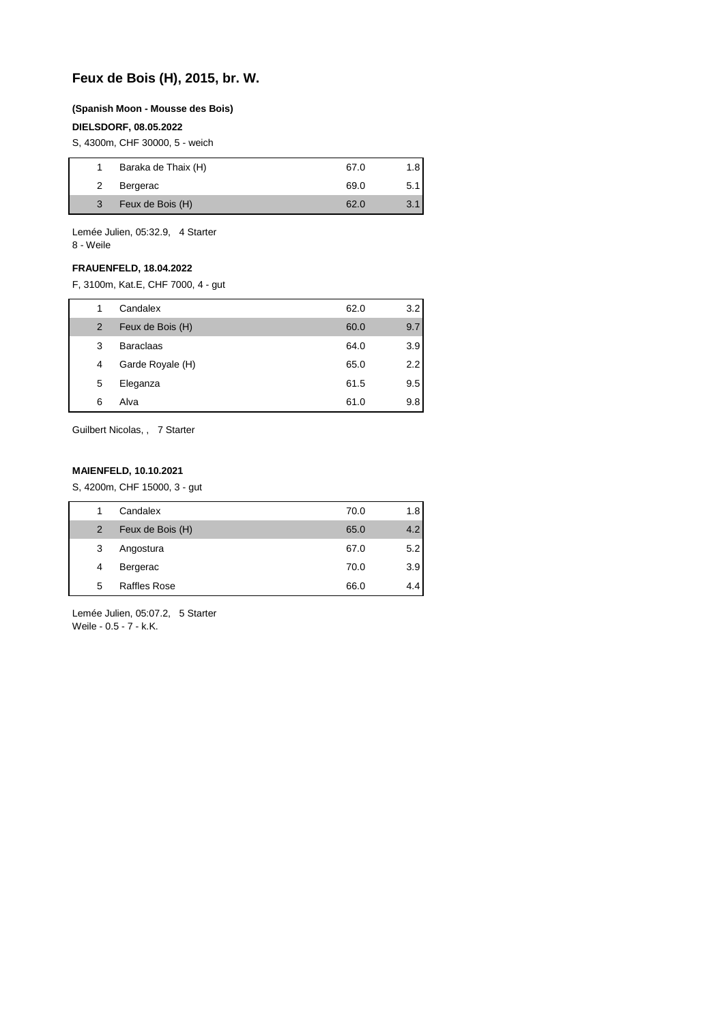# **Feux de Bois (H), 2015, br. W.**

#### **(Spanish Moon - Mousse des Bois)**

## **DIELSDORF, 08.05.2022**

S, 4300m, CHF 30000, 5 - weich

|   | Baraka de Thaix (H) | 67.0 | 1.8 |
|---|---------------------|------|-----|
| 2 | Bergerac            | 69.0 | 5.1 |
| 3 | Feux de Bois (H)    | 62.0 | 3.1 |

Lemée Julien, 05:32.9, 4 Starter 8 - Weile

#### **FRAUENFELD, 18.04.2022**

F, 3100m, Kat.E, CHF 7000, 4 - gut

|   | Candalex         | 62.0 | 3.2 |
|---|------------------|------|-----|
| 2 | Feux de Bois (H) | 60.0 | 9.7 |
| 3 | <b>Baraclaas</b> | 64.0 | 3.9 |
| 4 | Garde Royale (H) | 65.0 | 2.2 |
| 5 | Eleganza         | 61.5 | 9.5 |
| 6 | Alva             | 61.0 | 9.8 |

Guilbert Nicolas, , 7 Starter

## **MAIENFELD, 10.10.2021**

S, 4200m, CHF 15000, 3 - gut

| 1              | Candalex            | 70.0 | 1.8 |
|----------------|---------------------|------|-----|
| $\overline{2}$ | Feux de Bois (H)    | 65.0 | 4.2 |
| 3              | Angostura           | 67.0 | 5.2 |
| 4              | Bergerac            | 70.0 | 3.9 |
| 5              | <b>Raffles Rose</b> | 66.0 | 4.4 |

Lemée Julien, 05:07.2, 5 Starter Weile - 0.5 - 7 - k.K.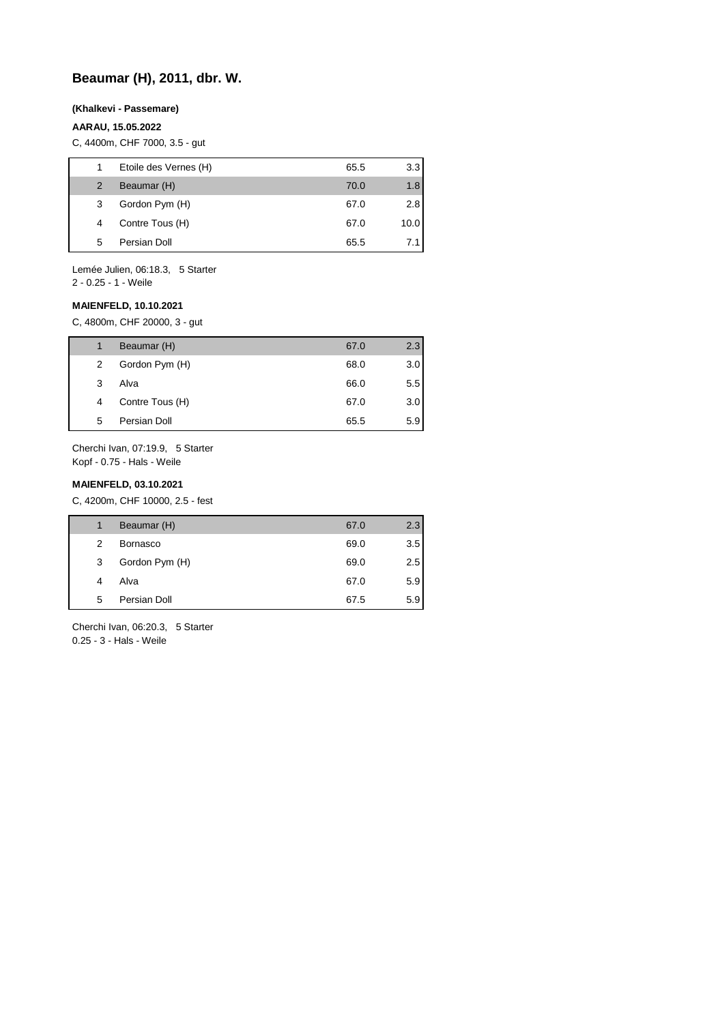# **Beaumar (H), 2011, dbr. W.**

#### **(Khalkevi - Passemare)**

## **AARAU, 15.05.2022**

C, 4400m, CHF 7000, 3.5 - gut

| 1 | Etoile des Vernes (H) | 65.5 | 3.3  |
|---|-----------------------|------|------|
| 2 | Beaumar (H)           | 70.0 | 1.8  |
| 3 | Gordon Pym (H)        | 67.0 | 2.8  |
| 4 | Contre Tous (H)       | 67.0 | 10.0 |
| 5 | Persian Doll          | 65.5 | 71   |

Lemée Julien, 06:18.3, 5 Starter

2 - 0.25 - 1 - Weile

## **MAIENFELD, 10.10.2021**

C, 4800m, CHF 20000, 3 - gut

|   | Beaumar (H)     | 67.0 | 2.3 |
|---|-----------------|------|-----|
| 2 | Gordon Pym (H)  | 68.0 | 3.0 |
| 3 | Alva            | 66.0 | 5.5 |
| 4 | Contre Tous (H) | 67.0 | 3.0 |
| 5 | Persian Doll    | 65.5 | 5.9 |
|   |                 |      |     |

Cherchi Ivan, 07:19.9, 5 Starter Kopf - 0.75 - Hals - Weile

#### **MAIENFELD, 03.10.2021**

C, 4200m, CHF 10000, 2.5 - fest

| 1 | Beaumar (H)     | 67.0 | 2.3 |
|---|-----------------|------|-----|
| 2 | <b>Bornasco</b> | 69.0 | 3.5 |
| 3 | Gordon Pym (H)  | 69.0 | 2.5 |
| 4 | Alva            | 67.0 | 5.9 |
| 5 | Persian Doll    | 67.5 | 5.9 |

Cherchi Ivan, 06:20.3, 5 Starter 0.25 - 3 - Hals - Weile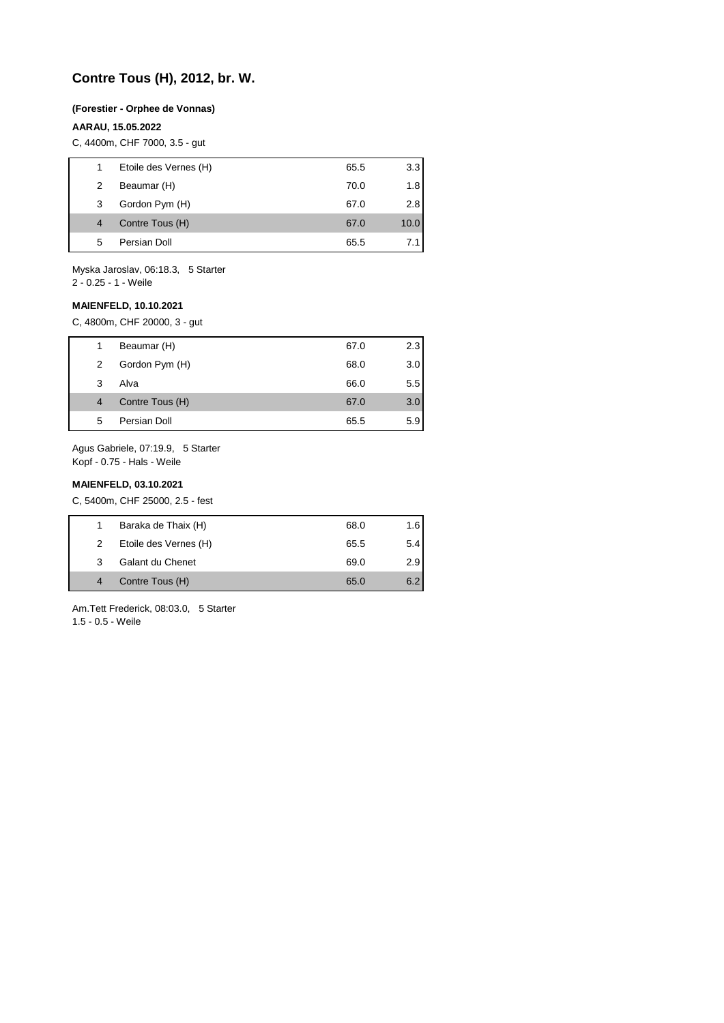# **Contre Tous (H), 2012, br. W.**

#### **(Forestier - Orphee de Vonnas)**

#### **AARAU, 15.05.2022**

C, 4400m, CHF 7000, 3.5 - gut

|   | Etoile des Vernes (H) | 65.5 | 3.3  |
|---|-----------------------|------|------|
| 2 | Beaumar (H)           | 70.0 | 1.8  |
| 3 | Gordon Pym (H)        | 67.0 | 2.81 |
| 4 | Contre Tous (H)       | 67.0 | 10.0 |
| 5 | Persian Doll          | 65.5 |      |
|   |                       |      |      |

Myska Jaroslav, 06:18.3, 5 Starter

2 - 0.25 - 1 - Weile

## **MAIENFELD, 10.10.2021**

C, 4800m, CHF 20000, 3 - gut

| 1. | Beaumar (H)     | 67.0 | 2.3 |
|----|-----------------|------|-----|
| 2  | Gordon Pym (H)  | 68.0 | 3.0 |
| 3  | Alva            | 66.0 | 5.5 |
| 4  | Contre Tous (H) | 67.0 | 3.0 |
| 5  | Persian Doll    | 65.5 | 5.9 |

Agus Gabriele, 07:19.9, 5 Starter Kopf - 0.75 - Hals - Weile

#### **MAIENFELD, 03.10.2021**

C, 5400m, CHF 25000, 2.5 - fest

| 1. | Baraka de Thaix (H)   | 68.0 | 1.6 |
|----|-----------------------|------|-----|
| 2  | Etoile des Vernes (H) | 65.5 | 5.4 |
| 3  | Galant du Chenet      | 69.0 | 2.9 |
| 4  | Contre Tous (H)       | 65.0 | 6.2 |
|    |                       |      |     |

Am.Tett Frederick, 08:03.0, 5 Starter 1.5 - 0.5 - Weile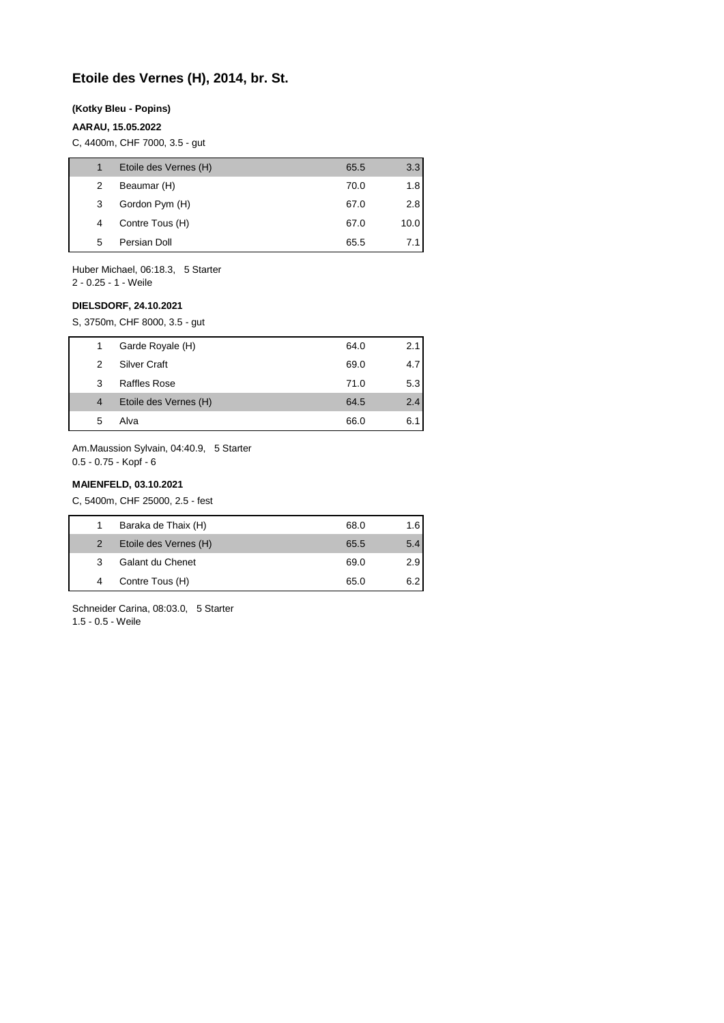## **Etoile des Vernes (H), 2014, br. St.**

#### **(Kotky Bleu - Popins)**

## **AARAU, 15.05.2022**

C, 4400m, CHF 7000, 3.5 - gut

|   | Etoile des Vernes (H) | 65.5 | 3.3  |
|---|-----------------------|------|------|
| 2 | Beaumar (H)           | 70.0 | 1.8  |
| 3 | Gordon Pym (H)        | 67.0 | 2.8  |
| 4 | Contre Tous (H)       | 67.0 | 10.0 |
| 5 | Persian Doll          | 65.5 |      |

Huber Michael, 06:18.3, 5 Starter

2 - 0.25 - 1 - Weile

## **DIELSDORF, 24.10.2021**

S, 3750m, CHF 8000, 3.5 - gut

| 1              | Garde Royale (H)      | 64.0 | 2.1 |
|----------------|-----------------------|------|-----|
| 2              | <b>Silver Craft</b>   | 69.0 | 4.7 |
| 3              | Raffles Rose          | 71.0 | 5.3 |
| $\overline{4}$ | Etoile des Vernes (H) | 64.5 | 2.4 |
| 5              | Alva                  | 66.0 | 6.1 |

Am.Maussion Sylvain, 04:40.9, 5 Starter 0.5 - 0.75 - Kopf - 6

#### **MAIENFELD, 03.10.2021**

C, 5400m, CHF 25000, 2.5 - fest

|   | Baraka de Thaix (H)   | 68.0 | 1.6 |
|---|-----------------------|------|-----|
| 2 | Etoile des Vernes (H) | 65.5 | 5.4 |
| 3 | Galant du Chenet      | 69.0 | 2.9 |
|   | Contre Tous (H)       | 65.0 | 6.2 |

Schneider Carina, 08:03.0, 5 Starter 1.5 - 0.5 - Weile